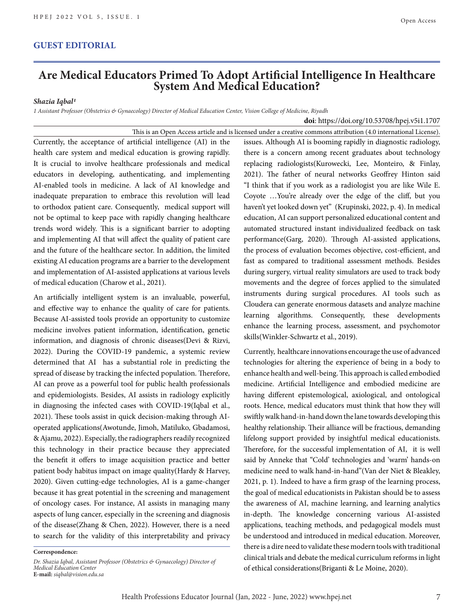## **GUEST EDITORIAL**

## **Are Medical Educators Primed To Adopt Artificial Intelligence In Healthcare System And Medical Education?**

## *Shazia Iqbal1*

*1 Assistant Professor (Obstetrics & Gynaecology) Director of Medical Education Center, Vision College of Medicine, Riyadh*

This is an Open Access article and is licensed under a creative commons attribution (4.0 international License). Currently, the acceptance of artificial intelligence (AI) in the health care system and medical education is growing rapidly. It is crucial to involve healthcare professionals and medical educators in developing, authenticating, and implementing AI-enabled tools in medicine. A lack of AI knowledge and inadequate preparation to embrace this revolution will lead to orthodox patient care. Consequently, medical support will not be optimal to keep pace with rapidly changing healthcare trends word widely. This is a significant barrier to adopting and implementing AI that will affect the quality of patient care and the future of the healthcare sector. In addition, the limited existing AI education programs are a barrier to the development and implementation of AI-assisted applications at various levels of medical education (Charow et al., 2021).

An artificially intelligent system is an invaluable, powerful, and effective way to enhance the quality of care for patients. Because AI-assisted tools provide an opportunity to customize medicine involves patient information, identification, genetic information, and diagnosis of chronic diseases(Devi & Rizvi, 2022). During the COVID-19 pandemic, a systemic review determined that AI has a substantial role in predicting the spread of disease by tracking the infected population. Therefore, AI can prove as a powerful tool for public health professionals and epidemiologists. Besides, AI assists in radiology explicitly in diagnosing the infected cases with COVID-19(Iqbal et al., 2021). These tools assist in quick decision-making through AIoperated applications(Awotunde, Jimoh, Matiluko, Gbadamosi, & Ajamu, 2022). Especially, the radiographers readily recognized this technology in their practice because they appreciated the benefit it offers to image acquisition practice and better patient body habitus impact on image quality(Hardy & Harvey, 2020). Given cutting-edge technologies, AI is a game-changer because it has great potential in the screening and management of oncology cases. For instance, AI assists in managing many aspects of lung cancer, especially in the screening and diagnosis of the disease(Zhang & Chen, 2022). However, there is a need to search for the validity of this interpretability and privacy

**Correspondence:**

issues. Although AI is booming rapidly in diagnostic radiology, there is a concern among recent graduates about technology replacing radiologists(Kurowecki, Lee, Monteiro, & Finlay, 2021). The father of neural networks Geoffrey Hinton said "I think that if you work as a radiologist you are like Wile E. Coyote …You're already over the edge of the cliff, but you haven't yet looked down yet" (Krupinski, 2022, p. 4). In medical education, AI can support personalized educational content and automated structured instant individualized feedback on task performance(Garg, 2020). Through AI-assisted applications, the process of evaluation becomes objective, cost-efficient, and fast as compared to traditional assessment methods. Besides during surgery, virtual reality simulators are used to track body movements and the degree of forces applied to the simulated instruments during surgical procedures. AI tools such as Cloudera can generate enormous datasets and analyze machine learning algorithms. Consequently, these developments enhance the learning process, assessment, and psychomotor skills(Winkler-Schwartz et al., 2019).

**doi**: https://doi.org/10.53708/hpej.v5i1.1707

Currently, healthcare innovations encourage the use of advanced technologies for altering the experience of being in a body to enhance health and well-being. This approach is called embodied medicine. Artificial Intelligence and embodied medicine are having different epistemological, axiological, and ontological roots. Hence, medical educators must think that how they will swiftly walk hand-in-hand down the lane towards developing this healthy relationship. Their alliance will be fractious, demanding lifelong support provided by insightful medical educationists. Therefore, for the successful implementation of AI, it is well said by Anneke that "Cold' technologies and 'warm' hands-on medicine need to walk hand-in-hand"(Van der Niet & Bleakley, 2021, p. 1). Indeed to have a firm grasp of the learning process, the goal of medical educationists in Pakistan should be to assess the awareness of AI, machine learning, and learning analytics in-depth. The knowledge concerning various AI-assisted applications, teaching methods, and pedagogical models must be understood and introduced in medical education. Moreover, there is a dire need to validate these modern tools with traditional clinical trials and debate the medical curriculum reforms in light of ethical considerations(Briganti & Le Moine, 2020).

*Dr. Shazia Iqbal, Assistant Professor (Obstetrics & Gynaecology) Director of Medical Education Center* **E-mail:** *siqbal@vision.edu.sa*